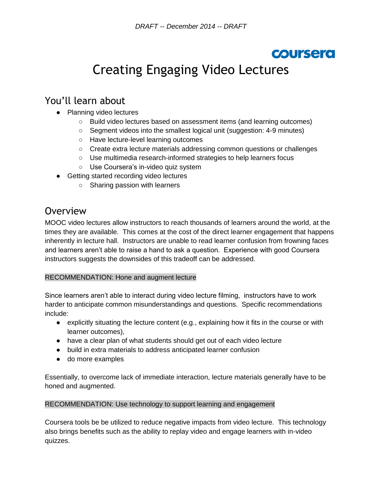## **COURSERO**

# Creating Engaging Video Lectures

### You'll learn about

- Planning video lectures
	- Build video lectures based on assessment items (and learning outcomes)
	- Segment videos into the smallest logical unit (suggestion: 4-9 minutes)
	- Have lecture-level learning outcomes
	- Create extra lecture materials addressing common questions or challenges
	- Use multimedia research-informed strategies to help learners focus
	- Use Coursera's in-video quiz system
- Getting started recording video lectures
	- Sharing passion with learners

### **Overview**

MOOC video lectures allow instructors to reach thousands of learners around the world, at the times they are available. This comes at the cost of the direct learner engagement that happens inherently in lecture hall. Instructors are unable to read learner confusion from frowning faces and learners aren't able to raise a hand to ask a question. Experience with good Coursera instructors suggests the downsides of this tradeoff can be addressed.

#### RECOMMENDATION: Hone and augment lecture

Since learners aren't able to interact during video lecture filming, instructors have to work harder to anticipate common misunderstandings and questions. Specific recommendations include:

- explicitly situating the lecture content (e.g., explaining how it fits in the course or with learner outcomes),
- have a clear plan of what students should get out of each video lecture
- build in extra materials to address anticipated learner confusion
- do more examples

Essentially, to overcome lack of immediate interaction, lecture materials generally have to be honed and augmented.

#### RECOMMENDATION: Use technology to support learning and engagement

Coursera tools be be utilized to reduce negative impacts from video lecture. This technology also brings benefits such as the ability to replay video and engage learners with in-video quizzes.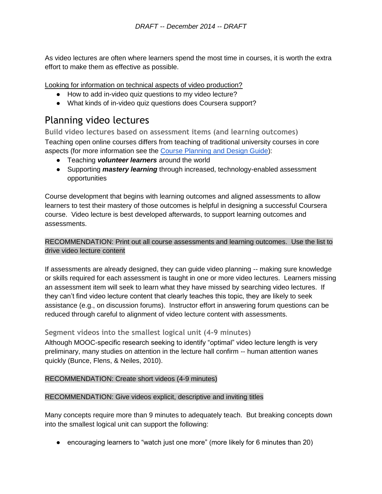As video lectures are often where learners spend the most time in courses, it is worth the extra effort to make them as effective as possible.

Looking for information on technical aspects of video production?

- How to add in-video quiz questions to my video lecture?
- What kinds of in-video quiz questions does Coursera support?

### Planning video lectures

**Build video lectures based on assessment items (and learning outcomes)** Teaching open online courses differs from teaching of traditional university courses in core aspects (for more information see the [Course Planning and Design Guide\)](https://docs.google.com/document/d/1jGAGjvh0qmHuOTQBqRg2BEMq9upinhhfPXlKAUmmRiY/edit?usp=sharing):

- Teaching *volunteer learners* around the world
- Supporting *mastery learning* through increased, technology-enabled assessment opportunities

Course development that begins with learning outcomes and aligned assessments to allow learners to test their mastery of those outcomes is helpful in designing a successful Coursera course. Video lecture is best developed afterwards, to support learning outcomes and assessments.

#### RECOMMENDATION: Print out all course assessments and learning outcomes. Use the list to drive video lecture content

If assessments are already designed, they can guide video planning -- making sure knowledge or skills required for each assessment is taught in one or more video lectures. Learners missing an assessment item will seek to learn what they have missed by searching video lectures. If they can't find video lecture content that clearly teaches this topic, they are likely to seek assistance (e.g., on discussion forums). Instructor effort in answering forum questions can be reduced through careful to alignment of video lecture content with assessments.

#### **Segment videos into the smallest logical unit (4-9 minutes)**

Although MOOC-specific research seeking to identify "optimal" video lecture length is very preliminary, many studies on attention in the lecture hall confirm -- human attention wanes quickly (Bunce, Flens, & Neiles, 2010).

#### RECOMMENDATION: Create short videos (4-9 minutes)

#### RECOMMENDATION: Give videos explicit, descriptive and inviting titles

Many concepts require more than 9 minutes to adequately teach. But breaking concepts down into the smallest logical unit can support the following:

● encouraging learners to "watch just one more" (more likely for 6 minutes than 20)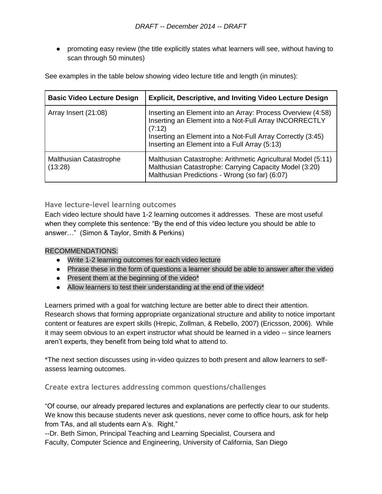• promoting easy review (the title explicitly states what learners will see, without having to scan through 50 minutes)

See examples in the table below showing video lecture title and length (in minutes):

| <b>Basic Video Lecture Design</b>        | <b>Explicit, Descriptive, and Inviting Video Lecture Design</b>                                                                                                                                                                                 |
|------------------------------------------|-------------------------------------------------------------------------------------------------------------------------------------------------------------------------------------------------------------------------------------------------|
| Array Insert (21:08)                     | Inserting an Element into an Array: Process Overview (4:58)<br>Inserting an Element into a Not-Full Array INCORRECTLY<br>(7:12)<br>Inserting an Element into a Not-Full Array Correctly (3:45)<br>Inserting an Element into a Full Array (5:13) |
| <b>Malthusian Catastrophe</b><br>(13:28) | Malthusian Catastrophe: Arithmetic Agricultural Model (5:11)<br>Malthusian Catastrophe: Carrying Capacity Model (3:20)<br>Malthusian Predictions - Wrong (so far) (6:07)                                                                        |

#### **Have lecture-level learning outcomes**

Each video lecture should have 1-2 learning outcomes it addresses. These are most useful when they complete this sentence: "By the end of this video lecture you should be able to answer…" (Simon & Taylor, Smith & Perkins)

#### RECOMMENDATIONS:

- Write 1-2 learning outcomes for each video lecture
- Phrase these in the form of questions a learner should be able to answer after the video
- Present them at the beginning of the video\*
- Allow learners to test their understanding at the end of the video\*

Learners primed with a goal for watching lecture are better able to direct their attention. Research shows that forming appropriate organizational structure and ability to notice important content or features are expert skills (Hrepic, Zollman, & Rebello, 2007) (Ericsson, 2006). While it may seem obvious to an expert instructor what should be learned in a video -- since learners aren't experts, they benefit from being told what to attend to.

\*The next section discusses using in-video quizzes to both present and allow learners to selfassess learning outcomes.

**Create extra lectures addressing common questions/challenges**

"Of course, our already prepared lectures and explanations are perfectly clear to our students. We know this because students never ask questions, never come to office hours, ask for help from TAs, and all students earn A's. Right."

--Dr. Beth Simon, Principal Teaching and Learning Specialist, Coursera and Faculty, Computer Science and Engineering, University of California, San Diego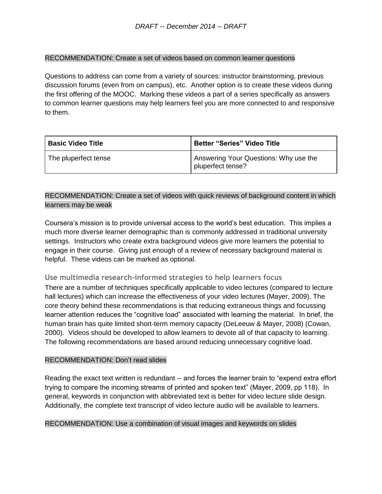#### RECOMMENDATION: Create a set of videos based on common learner questions

Questions to address can come from a variety of sources: instructor brainstorming, previous discussion forums (even from on campus), etc. Another option is to create these videos during the first offering of the MOOC. Marking these videos a part of a series specifically as answers to common learner questions may help learners feel you are more connected to and responsive to them.

| l Basic Video Title  | <b>Better "Series" Video Title</b>                         |
|----------------------|------------------------------------------------------------|
| The pluperfect tense | Answering Your Questions: Why use the<br>pluperfect tense? |

#### RECOMMENDATION: Create a set of videos with quick reviews of background content in which learners may be weak

Coursera's mission is to provide universal access to the world's best education. This implies a much more diverse learner demographic than is commonly addressed in traditional university settings. Instructors who create extra background videos give more learners the potential to engage in their course. Giving just enough of a review of necessary background material is helpful. These videos can be marked as optional.

#### **Use multimedia research-informed strategies to help learners focus**

There are a number of techniques specifically applicable to video lectures (compared to lecture hall lectures) which can increase the effectiveness of your video lectures (Mayer, 2009). The core theory behind these recommendations is that reducing extraneous things and focussing learner attention reduces the "cognitive load" associated with learning the material. In brief, the human brain has quite limited short-term memory capacity (DeLeeuw & Mayer, 2008) (Cowan, 2000). Videos should be developed to allow learners to devote all of that capacity to learning. The following recommendations are based around reducing unnecessary cognitive load.

#### RECOMMENDATION: Don't read slides

Reading the exact text written is redundant -- and forces the learner brain to "expend extra effort trying to compare the incoming streams of printed and spoken text" (Mayer, 2009, pp 118). In general, keywords in conjunction with abbreviated text is better for video lecture slide design. Additionally, the complete text transcript of video lecture audio will be available to learners.

#### RECOMMENDATION: Use a combination of visual images and keywords on slides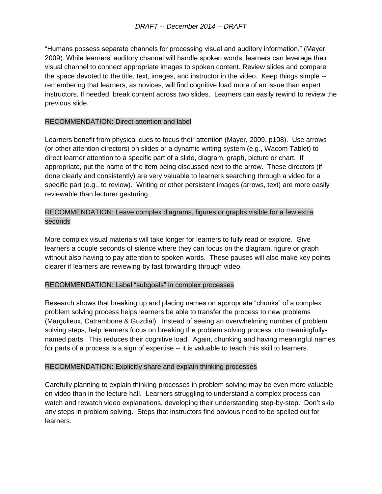"Humans possess separate channels for processing visual and auditory information." (Mayer, 2009). While learners' auditory channel will handle spoken words, learners can leverage their visual channel to connect appropriate images to spoken content. Review slides and compare the space devoted to the title, text, images, and instructor in the video. Keep things simple - remembering that learners, as novices, will find cognitive load more of an issue than expert instructors. If needed, break content across two slides. Learners can easily rewind to review the previous slide.

#### RECOMMENDATION: Direct attention and label

Learners benefit from physical cues to focus their attention (Mayer, 2009, p108). Use arrows (or other attention directors) on slides or a dynamic writing system (e.g., Wacom Tablet) to direct learner attention to a specific part of a slide, diagram, graph, picture or chart. If appropriate, put the name of the item being discussed next to the arrow. These directors (if done clearly and consistently) are very valuable to learners searching through a video for a specific part (e.g., to review). Writing or other persistent images (arrows, text) are more easily reviewable than lecturer gesturing.

#### RECOMMENDATION: Leave complex diagrams, figures or graphs visible for a few extra seconds

More complex visual materials will take longer for learners to fully read or explore. Give learners a couple seconds of silence where they can focus on the diagram, figure or graph without also having to pay attention to spoken words. These pauses will also make key points clearer if learners are reviewing by fast forwarding through video.

#### RECOMMENDATION: Label "subgoals" in complex processes

Research shows that breaking up and placing names on appropriate "chunks" of a complex problem solving process helps learners be able to transfer the process to new problems (Margulieux, Catrambone & Guzdial). Instead of seeing an overwhelming number of problem solving steps, help learners focus on breaking the problem solving process into meaningfullynamed parts. This reduces their cognitive load. Again, chunking and having meaningful names for parts of a process is a sign of expertise -- it is valuable to teach this skill to learners.

#### RECOMMENDATION: Explicitly share and explain thinking processes

Carefully planning to explain thinking processes in problem solving may be even more valuable on video than in the lecture hall. Learners struggling to understand a complex process can watch and rewatch video explanations, developing their understanding step-by-step. Don't skip any steps in problem solving. Steps that instructors find obvious need to be spelled out for learners.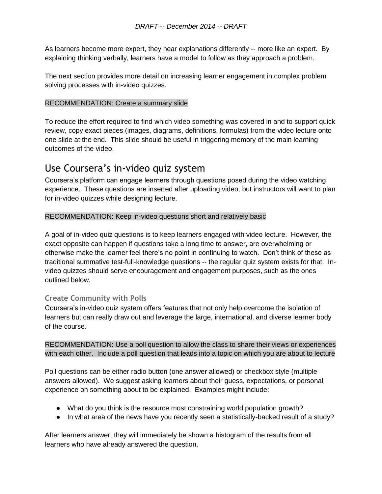As learners become more expert, they hear explanations differently -- more like an expert. By explaining thinking verbally, learners have a model to follow as they approach a problem.

The next section provides more detail on increasing learner engagement in complex problem solving processes with in-video quizzes.

#### RECOMMENDATION: Create a summary slide

To reduce the effort required to find which video something was covered in and to support quick review, copy exact pieces (images, diagrams, definitions, formulas) from the video lecture onto one slide at the end. This slide should be useful in triggering memory of the main learning outcomes of the video.

### Use Coursera's in-video quiz system

Coursera's platform can engage learners through questions posed during the video watching experience. These questions are inserted after uploading video, but instructors will want to plan for in-video quizzes while designing lecture.

#### RECOMMENDATION: Keep in-video questions short and relatively basic

A goal of in-video quiz questions is to keep learners engaged with video lecture. However, the exact opposite can happen if questions take a long time to answer, are overwhelming or otherwise make the learner feel there's no point in continuing to watch. Don't think of these as traditional summative test-full-knowledge questions -- the regular quiz system exists for that. Invideo quizzes should serve encouragement and engagement purposes, such as the ones outlined below.

#### **Create Community with Polls**

Coursera's in-video quiz system offers features that not only help overcome the isolation of learners but can really draw out and leverage the large, international, and diverse learner body of the course.

RECOMMENDATION: Use a poll question to allow the class to share their views or experiences with each other. Include a poll question that leads into a topic on which you are about to lecture

Poll questions can be either radio button (one answer allowed) or checkbox style (multiple answers allowed). We suggest asking learners about their guess, expectations, or personal experience on something about to be explained. Examples might include:

- What do you think is the resource most constraining world population growth?
- In what area of the news have you recently seen a statistically-backed result of a study?

After learners answer, they will immediately be shown a histogram of the results from all learners who have already answered the question.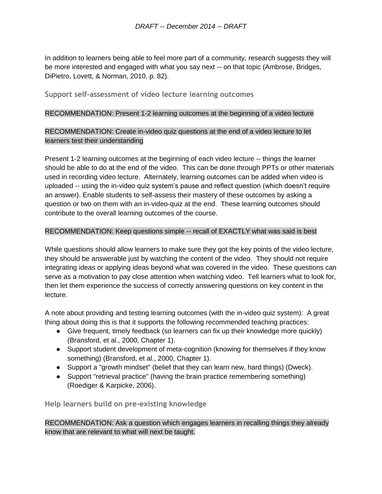In addition to learners being able to feel more part of a community, research suggests they will be more interested and engaged with what you say next -- on that topic (Ambrose, Bridges, DiPietro, Lovett, & Norman, 2010, p. 82).

**Support self-assessment of video lecture learning outcomes**

#### RECOMMENDATION: Present 1-2 learning outcomes at the beginning of a video lecture

#### RECOMMENDATION: Create in-video quiz questions at the end of a video lecture to let learners test their understanding

Present 1-2 learning outcomes at the beginning of each video lecture -- things the learner should be able to do at the end of the video. This can be done through PPTs or other materials used in recording video lecture. Alternately, learning outcomes can be added when video is uploaded -- using the in-video quiz system's pause and reflect question (which doesn't require an answer). Enable students to self-assess their mastery of these outcomes by asking a question or two on them with an in-video-quiz at the end. These learning outcomes should contribute to the overall learning outcomes of the course.

#### RECOMMENDATION: Keep questions simple -- recall of EXACTLY what was said is best

While questions should allow learners to make sure they got the key points of the video lecture, they should be answerable just by watching the content of the video. They should not require integrating ideas or applying ideas beyond what was covered in the video. These questions can serve as a motivation to pay close attention when watching video. Tell learners what to look for, then let them experience the success of correctly answering questions on key content in the lecture.

A note about providing and testing learning outcomes (with the in-video quiz system): A great thing about doing this is that it supports the following recommended teaching practices:

- Give frequent, timely feedback (so learners can fix up their knowledge more quickly) (Bransford, et al., 2000, Chapter 1).
- Support student development of meta-cognition (knowing for themselves if they know something) (Bransford, et al., 2000, Chapter 1).
- Support a "growth mindset" (belief that they can learn new, hard things) (Dweck).
- Support "retrieval practice" (having the brain practice remembering something) (Roediger & Karpicke, 2006).

**Help learners build on pre-existing knowledge**

#### RECOMMENDATION: Ask a question which engages learners in recalling things they already know that are relevant to what will next be taught.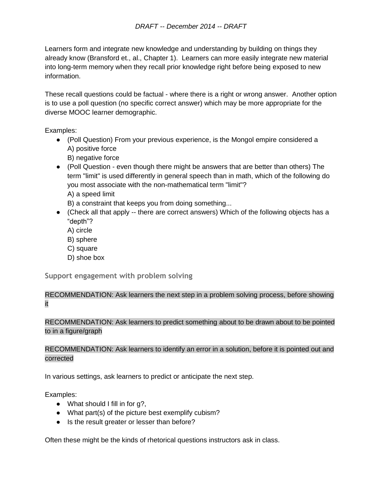Learners form and integrate new knowledge and understanding by building on things they already know (Bransford et., al., Chapter 1). Learners can more easily integrate new material into long-term memory when they recall prior knowledge right before being exposed to new information.

These recall questions could be factual - where there is a right or wrong answer. Another option is to use a poll question (no specific correct answer) which may be more appropriate for the diverse MOOC learner demographic.

Examples:

- (Poll Question) From your previous experience, is the Mongol empire considered a A) positive force
	- B) negative force
- (Poll Question even though there might be answers that are better than others) The term "limit" is used differently in general speech than in math, which of the following do you most associate with the non-mathematical term "limit"? A) a speed limit

B) a constraint that keeps you from doing something...

- (Check all that apply -- there are correct answers) Which of the following objects has a "depth"?
	- A) circle
	- B) sphere
	- C) square
	- D) shoe box

**Support engagement with problem solving**

#### RECOMMENDATION: Ask learners the next step in a problem solving process, before showing it

RECOMMENDATION: Ask learners to predict something about to be drawn about to be pointed to in a figure/graph

#### RECOMMENDATION: Ask learners to identify an error in a solution, before it is pointed out and corrected

In various settings, ask learners to predict or anticipate the next step.

Examples:

- $\bullet$  What should I fill in for g?,
- What part(s) of the picture best exemplify cubism?
- Is the result greater or lesser than before?

Often these might be the kinds of rhetorical questions instructors ask in class.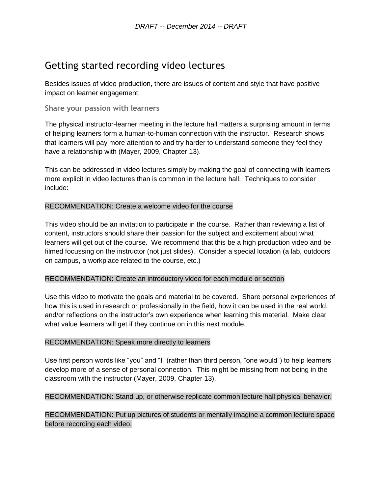### Getting started recording video lectures

Besides issues of video production, there are issues of content and style that have positive impact on learner engagement.

**Share your passion with learners**

The physical instructor-learner meeting in the lecture hall matters a surprising amount in terms of helping learners form a human-to-human connection with the instructor. Research shows that learners will pay more attention to and try harder to understand someone they feel they have a relationship with (Mayer, 2009, Chapter 13).

This can be addressed in video lectures simply by making the goal of connecting with learners more explicit in video lectures than is common in the lecture hall. Techniques to consider include:

#### RECOMMENDATION: Create a welcome video for the course

This video should be an invitation to participate in the course. Rather than reviewing a list of content, instructors should share their passion for the subject and excitement about what learners will get out of the course. We recommend that this be a high production video and be filmed focussing on the instructor (not just slides). Consider a special location (a lab, outdoors on campus, a workplace related to the course, etc.)

#### RECOMMENDATION: Create an introductory video for each module or section

Use this video to motivate the goals and material to be covered. Share personal experiences of how this is used in research or professionally in the field, how it can be used in the real world, and/or reflections on the instructor's own experience when learning this material. Make clear what value learners will get if they continue on in this next module.

#### RECOMMENDATION: Speak more directly to learners

Use first person words like "you" and "I" (rather than third person, "one would") to help learners develop more of a sense of personal connection. This might be missing from not being in the classroom with the instructor (Mayer, 2009, Chapter 13).

#### RECOMMENDATION: Stand up, or otherwise replicate common lecture hall physical behavior.

RECOMMENDATION: Put up pictures of students or mentally imagine a common lecture space before recording each video.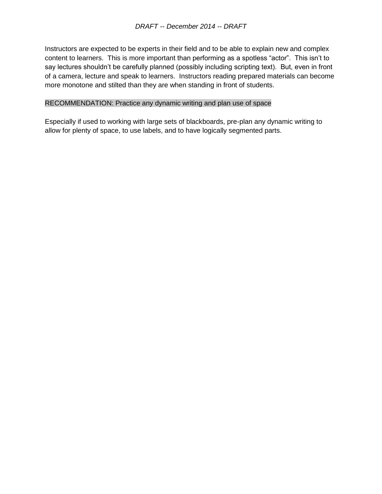Instructors are expected to be experts in their field and to be able to explain new and complex content to learners. This is more important than performing as a spotless "actor". This isn't to say lectures shouldn't be carefully planned (possibly including scripting text). But, even in front of a camera, lecture and speak to learners. Instructors reading prepared materials can become more monotone and stilted than they are when standing in front of students.

#### RECOMMENDATION: Practice any dynamic writing and plan use of space

Especially if used to working with large sets of blackboards, pre-plan any dynamic writing to allow for plenty of space, to use labels, and to have logically segmented parts.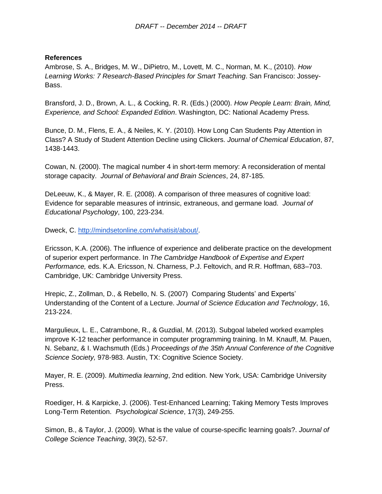#### **References**

Ambrose, S. A., Bridges, M. W., DiPietro, M., Lovett, M. C., Norman, M. K., (2010). *How Learning Works: 7 Research-Based Principles for Smart Teaching*. San Francisco: Jossey-Bass.

Bransford, J. D., Brown, A. L., & Cocking, R. R. (Eds.) (2000). *How People Learn: Brain, Mind, Experience, and School: Expanded Edition*. Washington, DC: National Academy Press.

Bunce, D. M., Flens, E. A., & Neiles, K. Y. (2010). How Long Can Students Pay Attention in Class? A Study of Student Attention Decline using Clickers. *Journal of Chemical Education*, 87, 1438-1443.

Cowan, N. (2000). The magical number 4 in short-term memory: A reconsideration of mental storage capacity. *Journal of Behavioral and Brain Sciences*, 24, 87-185.

DeLeeuw, K., & Mayer, R. E. (2008). A comparison of three measures of cognitive load: Evidence for separable measures of intrinsic, extraneous, and germane load. *Journal of Educational Psychology*, 100, 223-234.

Dweck, C. [http://mindsetonline.com/whatisit/about/.](http://mindsetonline.com/whatisit/about/)

Ericsson, K.A. (2006). The influence of experience and deliberate practice on the development of superior expert performance. In *The Cambridge Handbook of Expertise and Expert Performance,* eds. K.A. Ericsson, N. Charness, P.J. Feltovich, and R.R. Hoffman, 683–703. Cambridge, UK: Cambridge University Press.

Hrepic, Z., Zollman, D., & Rebello, N. S. (2007) Comparing Students' and Experts' Understanding of the Content of a Lecture. *Journal of Science Education and Technology*, 16, 213-224.

Margulieux, L. E., Catrambone, R., & Guzdial, M. (2013). Subgoal labeled worked examples improve K-12 teacher performance in computer programming training. In M. Knauff, M. Pauen, N. Sebanz, & I. Wachsmuth (Eds.) *Proceedings of the 35th Annual Conference of the Cognitive Science Society,* 978-983. Austin, TX: Cognitive Science Society.

Mayer, R. E. (2009). *Multimedia learning*, 2nd edition. New York, USA: Cambridge University Press.

Roediger, H. & Karpicke, J. (2006). Test-Enhanced Learning; Taking Memory Tests Improves Long-Term Retention. *Psychological Science*, 17(3), 249-255.

Simon, B., & Taylor, J. (2009). What is the value of course-specific learning goals?. *Journal of College Science Teaching*, 39(2), 52-57.